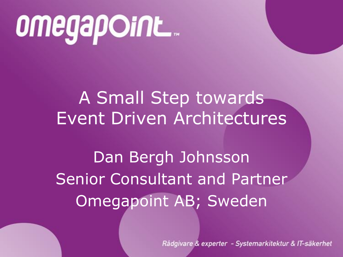# omegapoint...

### A Small Step towards Event Driven Architectures

Dan Bergh Johnsson Senior Consultant and Partner Omegapoint AB; Sweden

Rådgivare & experter - Systemarkitektur & IT-säkerhet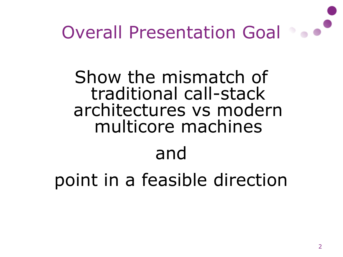

Show the mismatch of traditional call-stack architectures vs modern multicore machines and

point in a feasible direction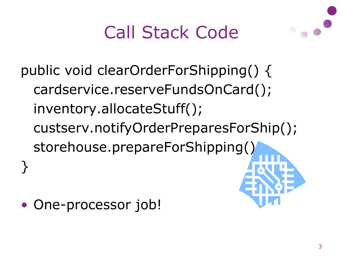### Call Stack Code

public void clearOrderForShipping() { cardservice.reserveFundsOnCard(); inventory.allocateStuff(); custserv.notifyOrderPreparesForShip(); storehouse.prepareForShipping() }

One-processor job!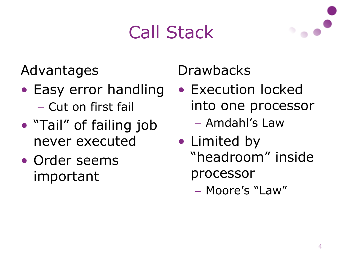# Call Stack



Advantages

- Easy error handling – Cut on first fail
- "Tail" of failing job never executed
- Order seems important

**Drawbacks** 

- Execution locked into one processor – Amdahl's Law
- Limited by "headroom" inside processor
	- Moore's "Law"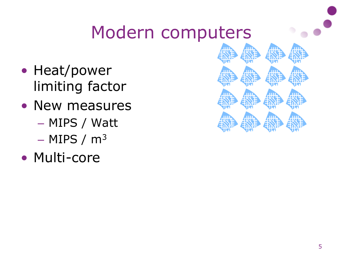### Modern computers

- Heat/power limiting factor
- New measures – MIPS / Watt
	- $-$  MIPS / m<sup>3</sup>
- Multi-core

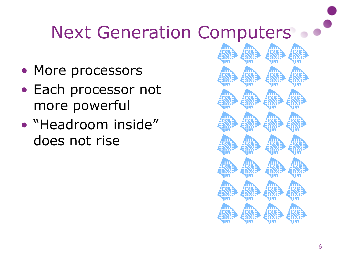## Next Generation Computers on

- More processors
- Each processor not more powerful
- "Headroom inside" does not rise

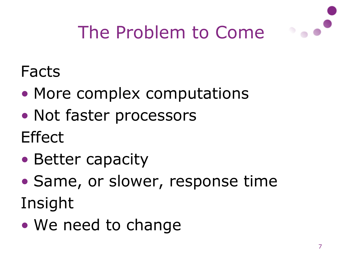

# The Problem to Come

#### Facts

- More complex computations
- Not faster processors
- Effect
- Better capacity
- Same, or slower, response time
- Insight
- We need to change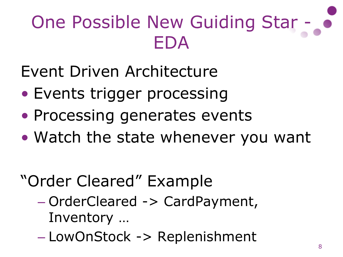# One Possible New Guiding Star -EDA

Event Driven Architecture

- Events trigger processing
- Processing generates events
- Watch the state whenever you want

### "Order Cleared" Example

- OrderCleared -> CardPayment, Inventory …
- LowOnStock -> Replenishment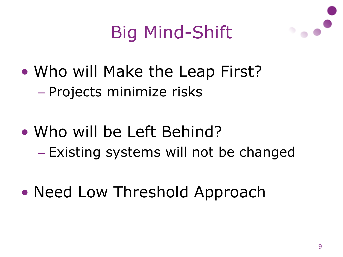### Big Mind-Shift

- Who will Make the Leap First? – Projects minimize risks
- Who will be Left Behind? – Existing systems will not be changed
- Need Low Threshold Approach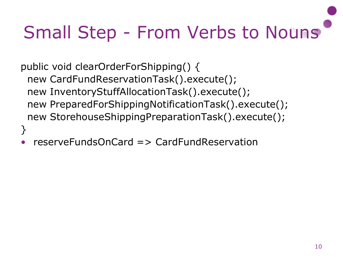# Small Step - From Verbs to Nouns

public void clearOrderForShipping() { new CardFundReservationTask().execute(); new InventoryStuffAllocationTask().execute(); new PreparedForShippingNotificationTask().execute(); new StorehouseShippingPreparationTask().execute(); }

• reserveFundsOnCard => CardFundReservation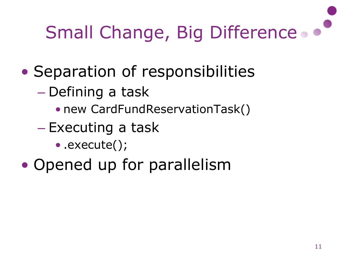# Small Change, Big Difference.

- Separation of responsibilities
	- Defining a task
		- new CardFundReservationTask()
	- Executing a task
		- .execute();
- Opened up for parallelism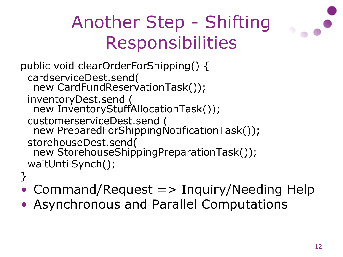# Another Step - Shifting Responsibilities

```
public void clearOrderForShipping() {
 cardserviceDest.send(
  new CardFundReservationTask());
 inventoryDest.send (
  new InventoryStuffAllocationTask());
 customerserviceDest.send (
  new PreparedForShippingNotificationTask());
 storehouseDest.send(
  new StorehouseShippingPreparationTask());
 waitUntilSynch();
}
```
- Command/Request => Inquiry/Needing Help
- Asynchronous and Parallel Computations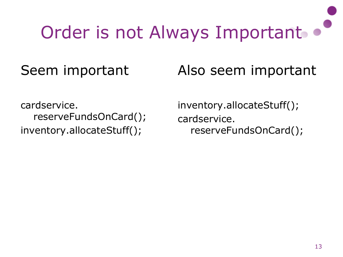# Order is not Always Important .

#### Seem important

Also seem important

cardservice. reserveFundsOnCard(); inventory.allocateStuff();

inventory.allocateStuff(); cardservice. reserveFundsOnCard();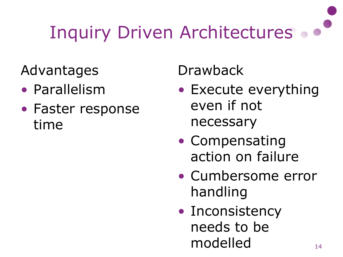# Inquiry Driven Architectures .

Advantages

- Parallelism
- Faster response time

Drawback

- Execute everything even if not necessary
- Compensating action on failure
- Cumbersome error handling
- Inconsistency needs to be modelled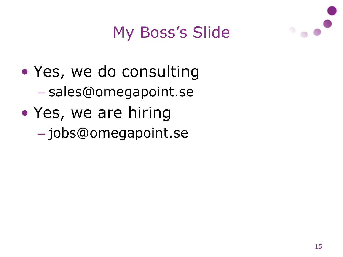

#### My Boss's Slide

• Yes, we do consulting – sales@omegapoint.se • Yes, we are hiring – jobs@omegapoint.se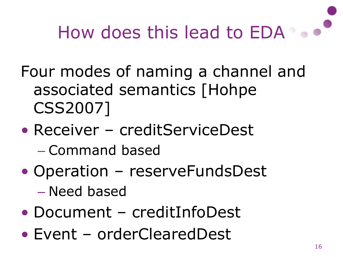

Four modes of naming a channel and associated semantics [Hohpe CSS2007]

- Receiver creditServiceDest – Command based
- Operation reserveFundsDest – Need based
- Document creditInfoDest
- Event orderClearedDest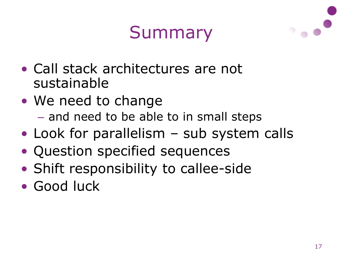### Summary



- Call stack architectures are not sustainable
- We need to change – and need to be able to in small steps
- Look for parallelism sub system calls
- Question specified sequences
- Shift responsibility to callee-side
- Good luck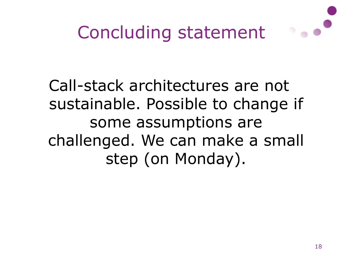

#### Call-stack architectures are not sustainable. Possible to change if some assumptions are challenged. We can make a small step (on Monday).